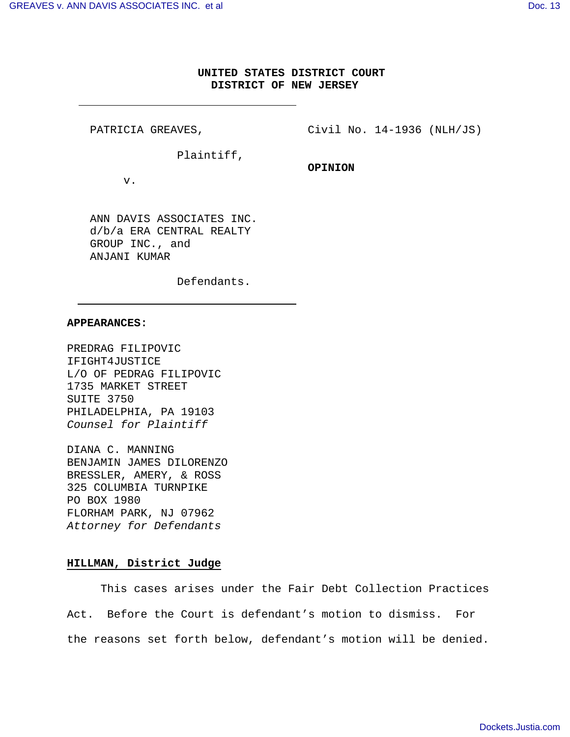# **UNITED STATES DISTRICT COURT DISTRICT OF NEW JERSEY**

**OPINION**

PATRICIA GREAVES,

Civil No. 14-1936 (NLH/JS)

Plaintiff,

v.

ANN DAVIS ASSOCIATES INC. d/b/a ERA CENTRAL REALTY GROUP INC., and ANJANI KUMAR

Defendants.

### **APPEARANCES:**

PREDRAG FILIPOVIC IFIGHT4JUSTICE L/O OF PEDRAG FILIPOVIC 1735 MARKET STREET SUITE 3750 PHILADELPHIA, PA 19103 Counsel for Plaintiff

DIANA C. MANNING BENJAMIN JAMES DILORENZO BRESSLER, AMERY, & ROSS 325 COLUMBIA TURNPIKE PO BOX 1980 FLORHAM PARK, NJ 07962 Attorney for Defendants

### **HILLMAN, District Judge**

This cases arises under the Fair Debt Collection Practices Act. Before the Court is defendant's motion to dismiss. For the reasons set forth below, defendant's motion will be denied.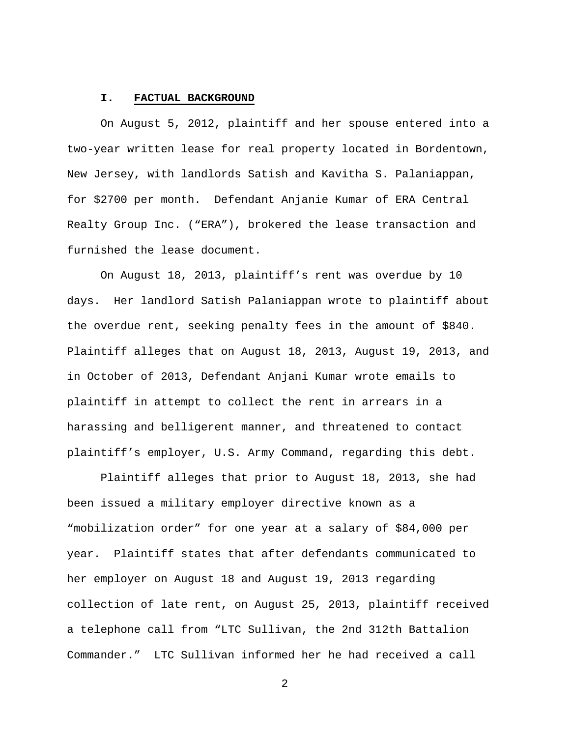#### **I. FACTUAL BACKGROUND**

On August 5, 2012, plaintiff and her spouse entered into a two-year written lease for real property located in Bordentown, New Jersey, with landlords Satish and Kavitha S. Palaniappan, for \$2700 per month. Defendant Anjanie Kumar of ERA Central Realty Group Inc. ("ERA"), brokered the lease transaction and furnished the lease document.

On August 18, 2013, plaintiff's rent was overdue by 10 days. Her landlord Satish Palaniappan wrote to plaintiff about the overdue rent, seeking penalty fees in the amount of \$840. Plaintiff alleges that on August 18, 2013, August 19, 2013, and in October of 2013, Defendant Anjani Kumar wrote emails to plaintiff in attempt to collect the rent in arrears in a harassing and belligerent manner, and threatened to contact plaintiff's employer, U.S. Army Command, regarding this debt.

Plaintiff alleges that prior to August 18, 2013, she had been issued a military employer directive known as a "mobilization order" for one year at a salary of \$84,000 per year. Plaintiff states that after defendants communicated to her employer on August 18 and August 19, 2013 regarding collection of late rent, on August 25, 2013, plaintiff received a telephone call from "LTC Sullivan, the 2nd 312th Battalion Commander." LTC Sullivan informed her he had received a call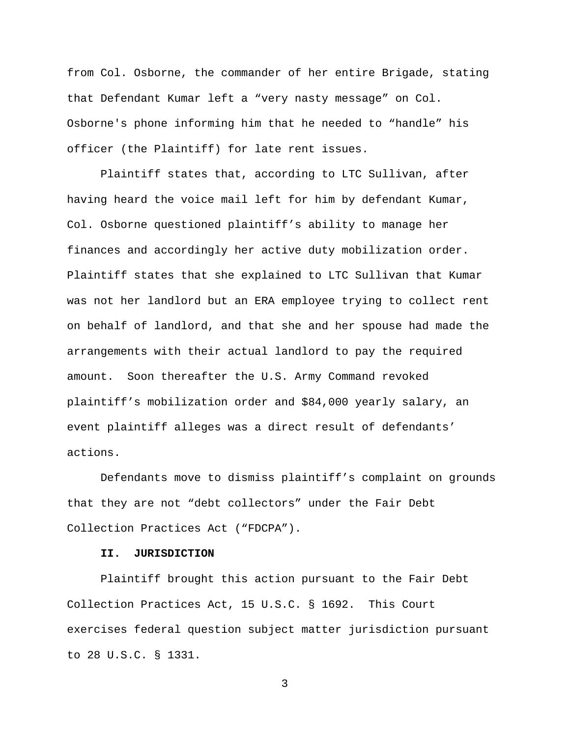from Col. Osborne, the commander of her entire Brigade, stating that Defendant Kumar left a "very nasty message" on Col. Osborne's phone informing him that he needed to "handle" his officer (the Plaintiff) for late rent issues.

Plaintiff states that, according to LTC Sullivan, after having heard the voice mail left for him by defendant Kumar, Col. Osborne questioned plaintiff's ability to manage her finances and accordingly her active duty mobilization order. Plaintiff states that she explained to LTC Sullivan that Kumar was not her landlord but an ERA employee trying to collect rent on behalf of landlord, and that she and her spouse had made the arrangements with their actual landlord to pay the required amount. Soon thereafter the U.S. Army Command revoked plaintiff's mobilization order and \$84,000 yearly salary, an event plaintiff alleges was a direct result of defendants' actions.

Defendants move to dismiss plaintiff's complaint on grounds that they are not "debt collectors" under the Fair Debt Collection Practices Act ("FDCPA").

## **II. JURISDICTION**

Plaintiff brought this action pursuant to the Fair Debt Collection Practices Act, 15 U.S.C. § 1692. This Court exercises federal question subject matter jurisdiction pursuant to 28 U.S.C. § 1331.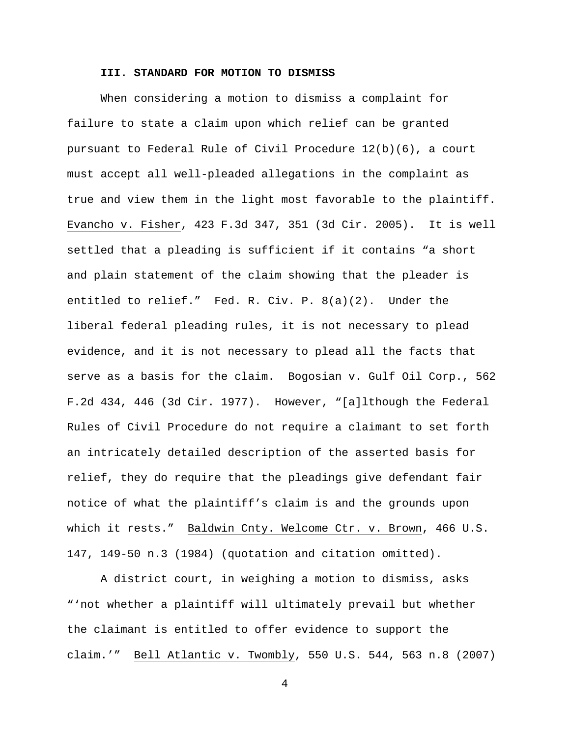### **III. STANDARD FOR MOTION TO DISMISS**

When considering a motion to dismiss a complaint for failure to state a claim upon which relief can be granted pursuant to Federal Rule of Civil Procedure 12(b)(6), a court must accept all well-pleaded allegations in the complaint as true and view them in the light most favorable to the plaintiff. Evancho v. Fisher, 423 F.3d 347, 351 (3d Cir. 2005). It is well settled that a pleading is sufficient if it contains "a short and plain statement of the claim showing that the pleader is entitled to relief." Fed. R. Civ. P. 8(a)(2). Under the liberal federal pleading rules, it is not necessary to plead evidence, and it is not necessary to plead all the facts that serve as a basis for the claim. Bogosian v. Gulf Oil Corp., 562 F.2d 434, 446 (3d Cir. 1977). However, "[a]lthough the Federal Rules of Civil Procedure do not require a claimant to set forth an intricately detailed description of the asserted basis for relief, they do require that the pleadings give defendant fair notice of what the plaintiff's claim is and the grounds upon which it rests." Baldwin Cnty. Welcome Ctr. v. Brown, 466 U.S. 147, 149-50 n.3 (1984) (quotation and citation omitted).

A district court, in weighing a motion to dismiss, asks "'not whether a plaintiff will ultimately prevail but whether the claimant is entitled to offer evidence to support the claim.'" Bell Atlantic v. Twombly, 550 U.S. 544, 563 n.8 (2007)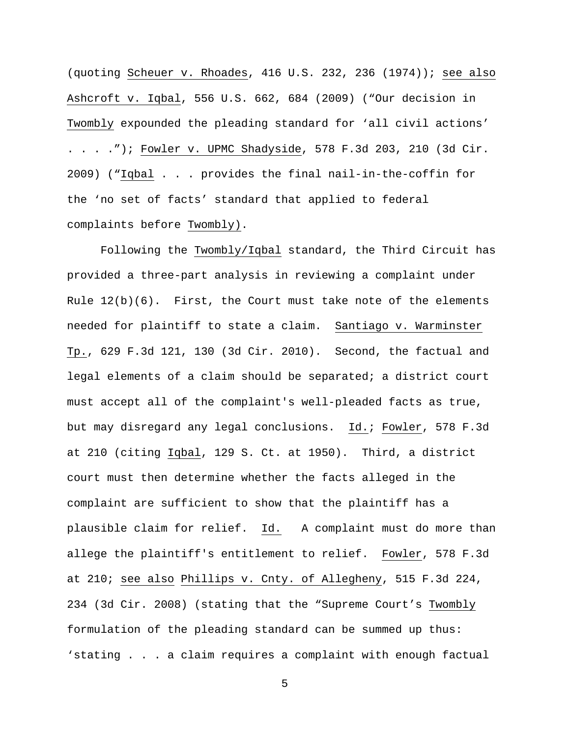(quoting Scheuer v. Rhoades, 416 U.S. 232, 236 (1974)); see also Ashcroft v. Iqbal, 556 U.S. 662, 684 (2009) ("Our decision in Twombly expounded the pleading standard for 'all civil actions' . . . ."); Fowler v. UPMC Shadyside, 578 F.3d 203, 210 (3d Cir. 2009) ("Iqbal . . . provides the final nail-in-the-coffin for the 'no set of facts' standard that applied to federal complaints before Twombly).

Following the Twombly/Iqbal standard, the Third Circuit has provided a three-part analysis in reviewing a complaint under Rule  $12(b)(6)$ . First, the Court must take note of the elements needed for plaintiff to state a claim. Santiago v. Warminster Tp., 629 F.3d 121, 130 (3d Cir. 2010). Second, the factual and legal elements of a claim should be separated; a district court must accept all of the complaint's well-pleaded facts as true, but may disregard any legal conclusions. Id.; Fowler, 578 F.3d at 210 (citing Iqbal, 129 S. Ct. at 1950). Third, a district court must then determine whether the facts alleged in the complaint are sufficient to show that the plaintiff has a plausible claim for relief. Id. A complaint must do more than allege the plaintiff's entitlement to relief. Fowler, 578 F.3d at 210; see also Phillips v. Cnty. of Allegheny, 515 F.3d 224, 234 (3d Cir. 2008) (stating that the "Supreme Court's Twombly formulation of the pleading standard can be summed up thus: 'stating . . . a claim requires a complaint with enough factual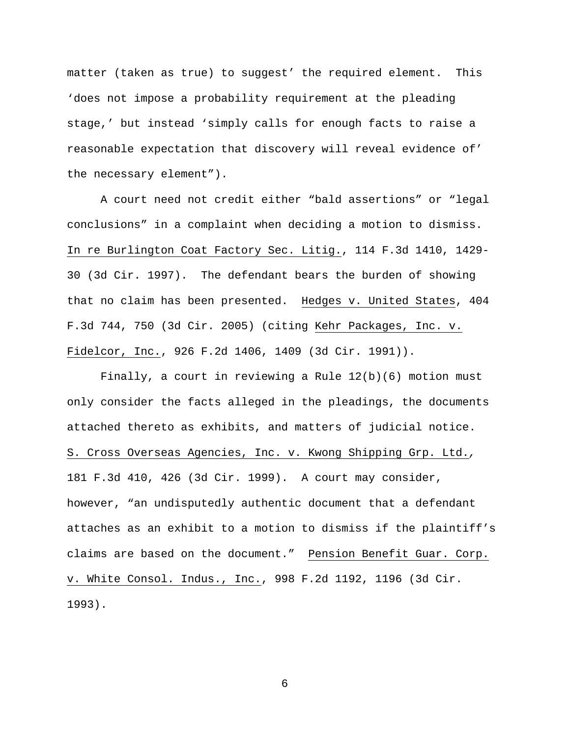matter (taken as true) to suggest' the required element. This 'does not impose a probability requirement at the pleading stage,' but instead 'simply calls for enough facts to raise a reasonable expectation that discovery will reveal evidence of' the necessary element").

A court need not credit either "bald assertions" or "legal conclusions" in a complaint when deciding a motion to dismiss. In re Burlington Coat Factory Sec. Litig., 114 F.3d 1410, 1429- 30 (3d Cir. 1997). The defendant bears the burden of showing that no claim has been presented. Hedges v. United States, 404 F.3d 744, 750 (3d Cir. 2005) (citing Kehr Packages, Inc. v. Fidelcor, Inc., 926 F.2d 1406, 1409 (3d Cir. 1991)).

Finally, a court in reviewing a Rule  $12(b)(6)$  motion must only consider the facts alleged in the pleadings, the documents attached thereto as exhibits, and matters of judicial notice. S. Cross Overseas Agencies, Inc. v. Kwong Shipping Grp. Ltd., 181 F.3d 410, 426 (3d Cir. 1999). A court may consider, however, "an undisputedly authentic document that a defendant attaches as an exhibit to a motion to dismiss if the plaintiff's claims are based on the document." Pension Benefit Guar. Corp. v. White Consol. Indus., Inc., 998 F.2d 1192, 1196 (3d Cir. 1993).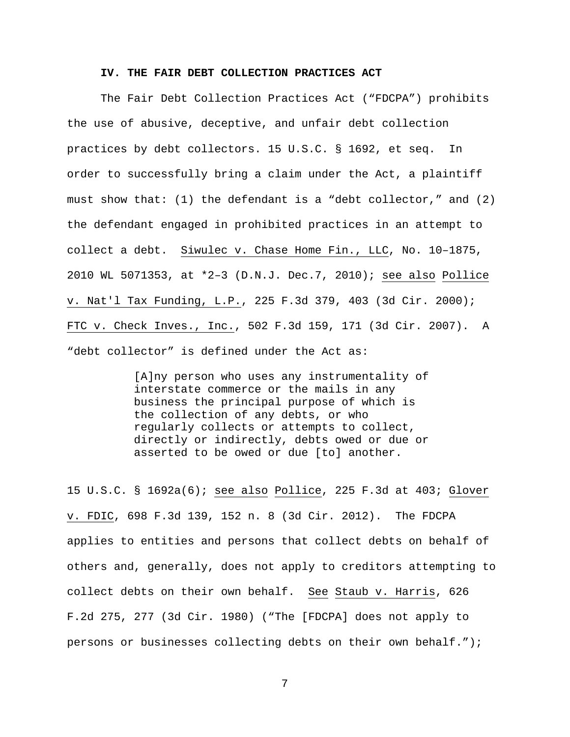### **IV. THE FAIR DEBT COLLECTION PRACTICES ACT**

The Fair Debt Collection Practices Act ("FDCPA") prohibits the use of abusive, deceptive, and unfair debt collection practices by debt collectors. 15 U.S.C. § 1692, et seq. In order to successfully bring a claim under the Act, a plaintiff must show that: (1) the defendant is a "debt collector," and (2) the defendant engaged in prohibited practices in an attempt to collect a debt. Siwulec v. Chase Home Fin., LLC, No. 10–1875, 2010 WL 5071353, at \*2–3 (D.N.J. Dec.7, 2010); see also Pollice v. Nat'l Tax Funding, L.P., 225 F.3d 379, 403 (3d Cir. 2000); FTC v. Check Inves., Inc., 502 F.3d 159, 171 (3d Cir. 2007). A "debt collector" is defined under the Act as:

> [A]ny person who uses any instrumentality of interstate commerce or the mails in any business the principal purpose of which is the collection of any debts, or who regularly collects or attempts to collect, directly or indirectly, debts owed or due or asserted to be owed or due [to] another.

15 U.S.C. § 1692a(6); see also Pollice, 225 F.3d at 403; Glover v. FDIC, 698 F.3d 139, 152 n. 8 (3d Cir. 2012). The FDCPA applies to entities and persons that collect debts on behalf of others and, generally, does not apply to creditors attempting to collect debts on their own behalf. See Staub v. Harris, 626 F.2d 275, 277 (3d Cir. 1980) ("The [FDCPA] does not apply to persons or businesses collecting debts on their own behalf.");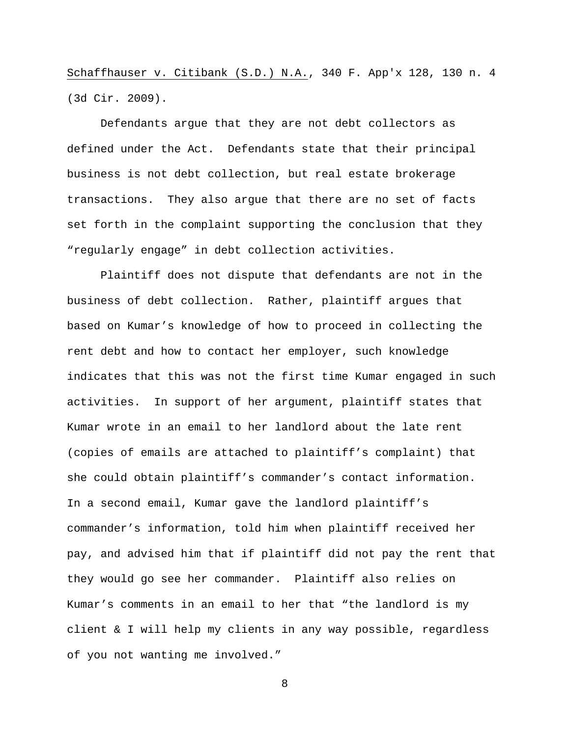Schaffhauser v. Citibank (S.D.) N.A., 340 F. App'x 128, 130 n. 4 (3d Cir. 2009).

Defendants argue that they are not debt collectors as defined under the Act. Defendants state that their principal business is not debt collection, but real estate brokerage transactions. They also argue that there are no set of facts set forth in the complaint supporting the conclusion that they "regularly engage" in debt collection activities.

Plaintiff does not dispute that defendants are not in the business of debt collection. Rather, plaintiff argues that based on Kumar's knowledge of how to proceed in collecting the rent debt and how to contact her employer, such knowledge indicates that this was not the first time Kumar engaged in such activities. In support of her argument, plaintiff states that Kumar wrote in an email to her landlord about the late rent (copies of emails are attached to plaintiff's complaint) that she could obtain plaintiff's commander's contact information. In a second email, Kumar gave the landlord plaintiff's commander's information, told him when plaintiff received her pay, and advised him that if plaintiff did not pay the rent that they would go see her commander. Plaintiff also relies on Kumar's comments in an email to her that "the landlord is my client & I will help my clients in any way possible, regardless of you not wanting me involved."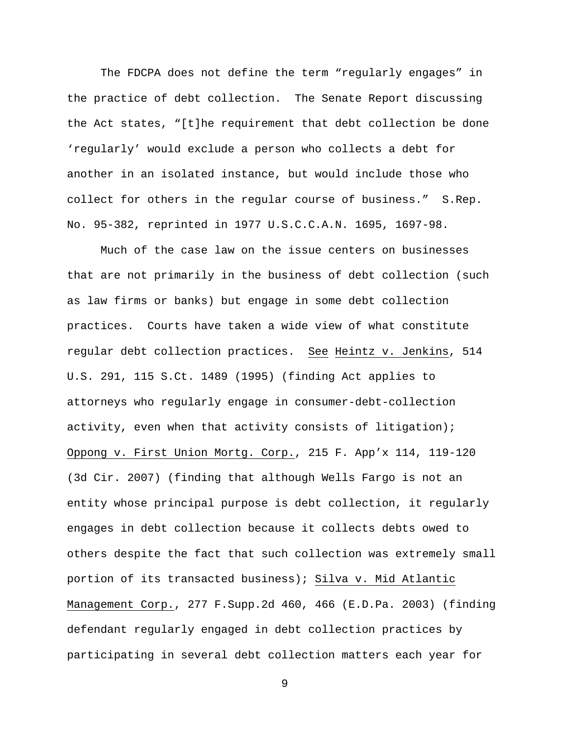The FDCPA does not define the term "regularly engages" in the practice of debt collection. The Senate Report discussing the Act states, "[t]he requirement that debt collection be done 'regularly' would exclude a person who collects a debt for another in an isolated instance, but would include those who collect for others in the regular course of business." S.Rep. No. 95-382, reprinted in 1977 U.S.C.C.A.N. 1695, 1697-98.

Much of the case law on the issue centers on businesses that are not primarily in the business of debt collection (such as law firms or banks) but engage in some debt collection practices. Courts have taken a wide view of what constitute regular debt collection practices. See Heintz v. Jenkins, 514 U.S. 291, 115 S.Ct. 1489 (1995) (finding Act applies to attorneys who regularly engage in consumer-debt-collection activity, even when that activity consists of litigation); Oppong v. First Union Mortg. Corp., 215 F. App'x 114, 119-120 (3d Cir. 2007) (finding that although Wells Fargo is not an entity whose principal purpose is debt collection, it regularly engages in debt collection because it collects debts owed to others despite the fact that such collection was extremely small portion of its transacted business); Silva v. Mid Atlantic Management Corp., 277 F.Supp.2d 460, 466 (E.D.Pa. 2003) (finding defendant regularly engaged in debt collection practices by participating in several debt collection matters each year for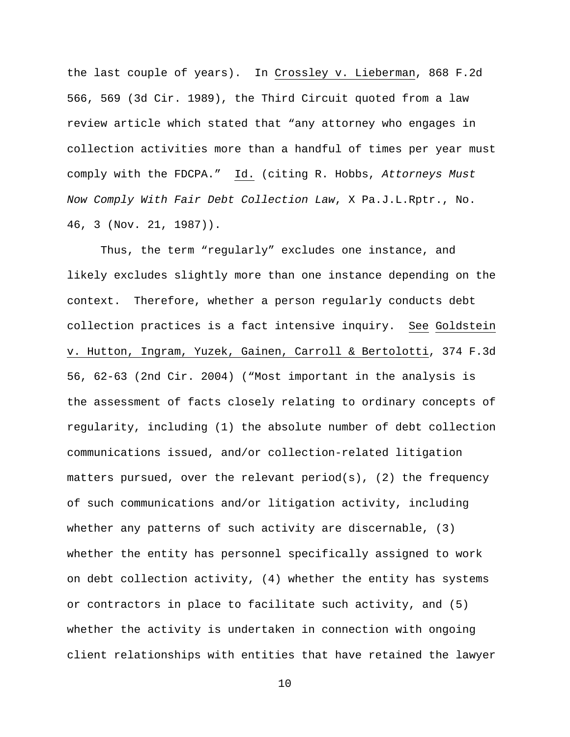the last couple of years). In Crossley v. Lieberman, 868 F.2d 566, 569 (3d Cir. 1989), the Third Circuit quoted from a law review article which stated that "any attorney who engages in collection activities more than a handful of times per year must comply with the FDCPA." Id. (citing R. Hobbs, Attorneys Must Now Comply With Fair Debt Collection Law, X Pa.J.L.Rptr., No. 46, 3 (Nov. 21, 1987)).

Thus, the term "regularly" excludes one instance, and likely excludes slightly more than one instance depending on the context. Therefore, whether a person regularly conducts debt collection practices is a fact intensive inquiry. See Goldstein v. Hutton, Ingram, Yuzek, Gainen, Carroll & Bertolotti, 374 F.3d 56, 62-63 (2nd Cir. 2004) ("Most important in the analysis is the assessment of facts closely relating to ordinary concepts of regularity, including (1) the absolute number of debt collection communications issued, and/or collection-related litigation matters pursued, over the relevant period(s), (2) the frequency of such communications and/or litigation activity, including whether any patterns of such activity are discernable, (3) whether the entity has personnel specifically assigned to work on debt collection activity, (4) whether the entity has systems or contractors in place to facilitate such activity, and (5) whether the activity is undertaken in connection with ongoing client relationships with entities that have retained the lawyer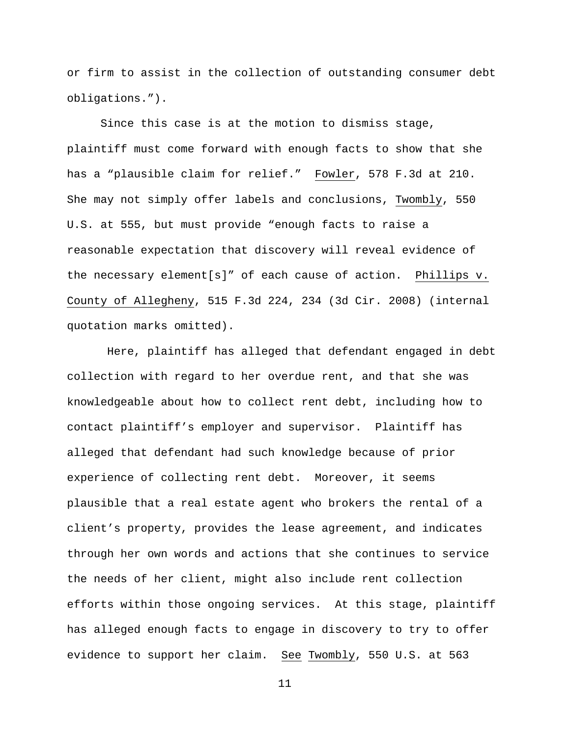or firm to assist in the collection of outstanding consumer debt obligations.").

Since this case is at the motion to dismiss stage, plaintiff must come forward with enough facts to show that she has a "plausible claim for relief." Fowler, 578 F.3d at 210. She may not simply offer labels and conclusions, Twombly, 550 U.S. at 555, but must provide "enough facts to raise a reasonable expectation that discovery will reveal evidence of the necessary element[s]" of each cause of action. Phillips v. County of Allegheny, 515 F.3d 224, 234 (3d Cir. 2008) (internal quotation marks omitted).

 Here, plaintiff has alleged that defendant engaged in debt collection with regard to her overdue rent, and that she was knowledgeable about how to collect rent debt, including how to contact plaintiff's employer and supervisor. Plaintiff has alleged that defendant had such knowledge because of prior experience of collecting rent debt. Moreover, it seems plausible that a real estate agent who brokers the rental of a client's property, provides the lease agreement, and indicates through her own words and actions that she continues to service the needs of her client, might also include rent collection efforts within those ongoing services. At this stage, plaintiff has alleged enough facts to engage in discovery to try to offer evidence to support her claim. See Twombly, 550 U.S. at 563